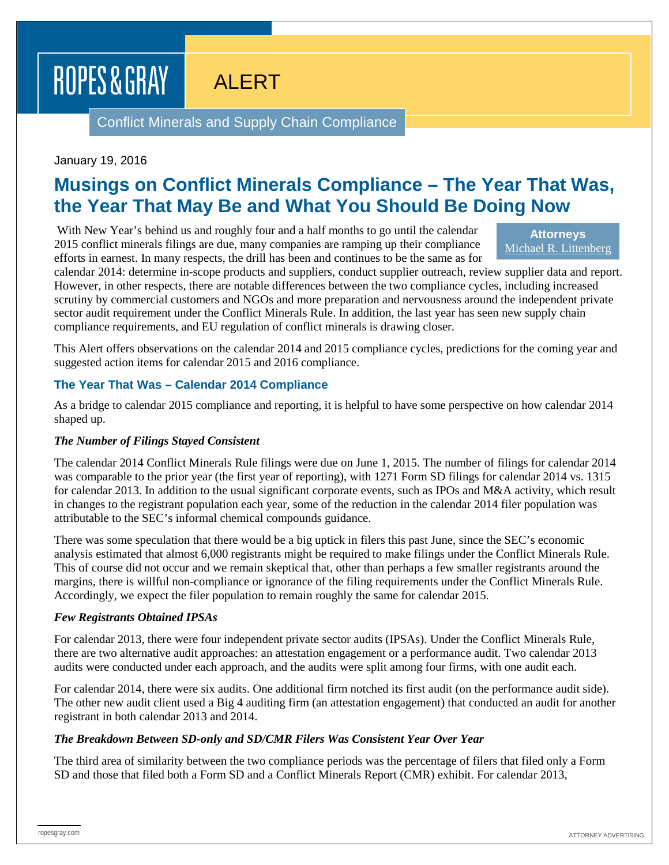# ALERT

Conflict Minerals and Supply Chain Compliance

#### January 19, 2016

### **Musings on Conflict Minerals Compliance – The Year That Was, the Year That May Be and What You Should Be Doing Now**

With New Year's behind us and roughly four and a half months to go until the calendar 2015 conflict minerals filings are due, many companies are ramping up their compliance efforts in earnest. In many respects, the drill has been and continues to be the same as for

**Attorneys** [Michael R. Littenberg](https://www.ropesgray.com/biographies/l/michael-littenberg.aspx)

calendar 2014: determine in-scope products and suppliers, conduct supplier outreach, review supplier data and report. However, in other respects, there are notable differences between the two compliance cycles, including increased scrutiny by commercial customers and NGOs and more preparation and nervousness around the independent private sector audit requirement under the Conflict Minerals Rule. In addition, the last year has seen new supply chain compliance requirements, and EU regulation of conflict minerals is drawing closer.

This Alert offers observations on the calendar 2014 and 2015 compliance cycles, predictions for the coming year and suggested action items for calendar 2015 and 2016 compliance.

#### **The Year That Was – Calendar 2014 Compliance**

As a bridge to calendar 2015 compliance and reporting, it is helpful to have some perspective on how calendar 2014 shaped up.

#### *The Number of Filings Stayed Consistent*

The calendar 2014 Conflict Minerals Rule filings were due on June 1, 2015. The number of filings for calendar 2014 was comparable to the prior year (the first year of reporting), with 1271 Form SD filings for calendar 2014 vs. 1315 for calendar 2013. In addition to the usual significant corporate events, such as IPOs and M&A activity, which result in changes to the registrant population each year, some of the reduction in the calendar 2014 filer population was attributable to the SEC's informal chemical compounds guidance.

There was some speculation that there would be a big uptick in filers this past June, since the SEC's economic analysis estimated that almost 6,000 registrants might be required to make filings under the Conflict Minerals Rule. This of course did not occur and we remain skeptical that, other than perhaps a few smaller registrants around the margins, there is willful non-compliance or ignorance of the filing requirements under the Conflict Minerals Rule. Accordingly, we expect the filer population to remain roughly the same for calendar 2015.

#### *Few Registrants Obtained IPSAs*

For calendar 2013, there were four independent private sector audits (IPSAs). Under the Conflict Minerals Rule, there are two alternative audit approaches: an attestation engagement or a performance audit. Two calendar 2013 audits were conducted under each approach, and the audits were split among four firms, with one audit each.

For calendar 2014, there were six audits. One additional firm notched its first audit (on the performance audit side). The other new audit client used a Big 4 auditing firm (an attestation engagement) that conducted an audit for another registrant in both calendar 2013 and 2014.

#### *The Breakdown Between SD-only and SD/CMR Filers Was Consistent Year Over Year*

The third area of similarity between the two compliance periods was the percentage of filers that filed only a Form SD and those that filed both a Form SD and a Conflict Minerals Report (CMR) exhibit. For calendar 2013,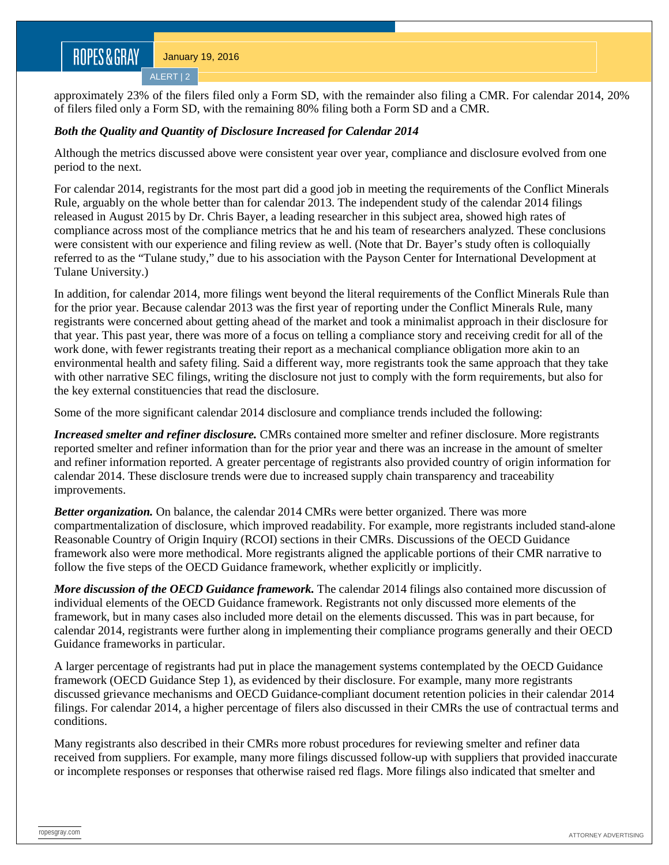ALERT | 2

approximately 23% of the filers filed only a Form SD, with the remainder also filing a CMR. For calendar 2014, 20% of filers filed only a Form SD, with the remaining 80% filing both a Form SD and a CMR.

#### *Both the Quality and Quantity of Disclosure Increased for Calendar 2014*

Although the metrics discussed above were consistent year over year, compliance and disclosure evolved from one period to the next.

For calendar 2014, registrants for the most part did a good job in meeting the requirements of the Conflict Minerals Rule, arguably on the whole better than for calendar 2013. The independent study of the calendar 2014 filings released in August 2015 by Dr. Chris Bayer, a leading researcher in this subject area, showed high rates of compliance across most of the compliance metrics that he and his team of researchers analyzed. These conclusions were consistent with our experience and filing review as well. (Note that Dr. Bayer's study often is colloquially referred to as the "Tulane study," due to his association with the Payson Center for International Development at Tulane University.)

In addition, for calendar 2014, more filings went beyond the literal requirements of the Conflict Minerals Rule than for the prior year. Because calendar 2013 was the first year of reporting under the Conflict Minerals Rule, many registrants were concerned about getting ahead of the market and took a minimalist approach in their disclosure for that year. This past year, there was more of a focus on telling a compliance story and receiving credit for all of the work done, with fewer registrants treating their report as a mechanical compliance obligation more akin to an environmental health and safety filing. Said a different way, more registrants took the same approach that they take with other narrative SEC filings, writing the disclosure not just to comply with the form requirements, but also for the key external constituencies that read the disclosure.

Some of the more significant calendar 2014 disclosure and compliance trends included the following:

*Increased smelter and refiner disclosure.* CMRs contained more smelter and refiner disclosure. More registrants reported smelter and refiner information than for the prior year and there was an increase in the amount of smelter and refiner information reported. A greater percentage of registrants also provided country of origin information for calendar 2014. These disclosure trends were due to increased supply chain transparency and traceability improvements.

*Better organization.* On balance, the calendar 2014 CMRs were better organized. There was more compartmentalization of disclosure, which improved readability. For example, more registrants included stand-alone Reasonable Country of Origin Inquiry (RCOI) sections in their CMRs. Discussions of the OECD Guidance framework also were more methodical. More registrants aligned the applicable portions of their CMR narrative to follow the five steps of the OECD Guidance framework, whether explicitly or implicitly.

*More discussion of the OECD Guidance framework.* The calendar 2014 filings also contained more discussion of individual elements of the OECD Guidance framework. Registrants not only discussed more elements of the framework, but in many cases also included more detail on the elements discussed. This was in part because, for calendar 2014, registrants were further along in implementing their compliance programs generally and their OECD Guidance frameworks in particular.

A larger percentage of registrants had put in place the management systems contemplated by the OECD Guidance framework (OECD Guidance Step 1), as evidenced by their disclosure. For example, many more registrants discussed grievance mechanisms and OECD Guidance-compliant document retention policies in their calendar 2014 filings. For calendar 2014, a higher percentage of filers also discussed in their CMRs the use of contractual terms and conditions.

Many registrants also described in their CMRs more robust procedures for reviewing smelter and refiner data received from suppliers. For example, many more filings discussed follow-up with suppliers that provided inaccurate or incomplete responses or responses that otherwise raised red flags. More filings also indicated that smelter and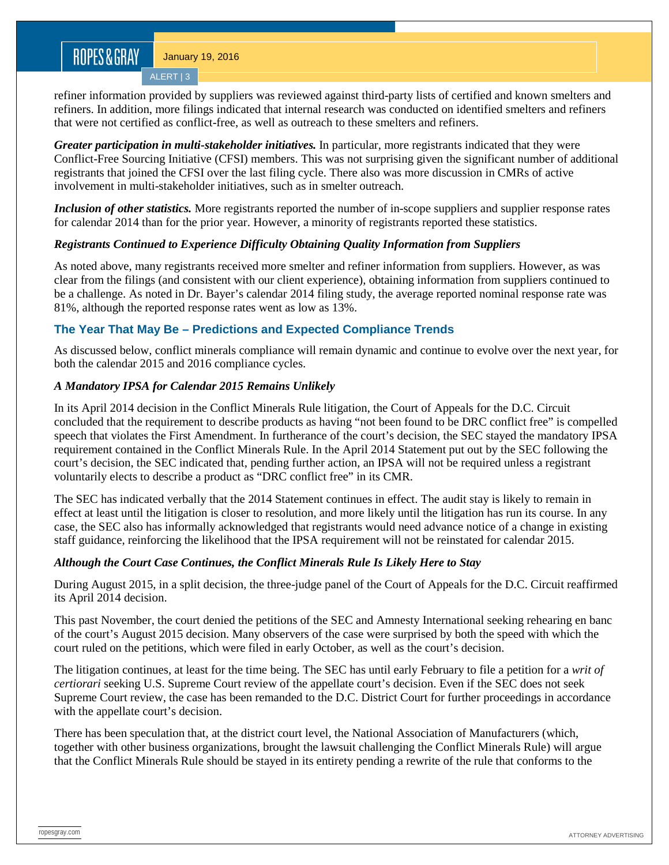January 19, 2016

ALERT | 3

refiner information provided by suppliers was reviewed against third-party lists of certified and known smelters and refiners. In addition, more filings indicated that internal research was conducted on identified smelters and refiners that were not certified as conflict-free, as well as outreach to these smelters and refiners.

*Greater participation in multi-stakeholder initiatives.* In particular, more registrants indicated that they were Conflict-Free Sourcing Initiative (CFSI) members. This was not surprising given the significant number of additional registrants that joined the CFSI over the last filing cycle. There also was more discussion in CMRs of active involvement in multi-stakeholder initiatives, such as in smelter outreach.

*Inclusion of other statistics.* More registrants reported the number of in-scope suppliers and supplier response rates for calendar 2014 than for the prior year. However, a minority of registrants reported these statistics.

#### *Registrants Continued to Experience Difficulty Obtaining Quality Information from Suppliers*

As noted above, many registrants received more smelter and refiner information from suppliers. However, as was clear from the filings (and consistent with our client experience), obtaining information from suppliers continued to be a challenge. As noted in Dr. Bayer's calendar 2014 filing study, the average reported nominal response rate was 81%, although the reported response rates went as low as 13%.

#### **The Year That May Be – Predictions and Expected Compliance Trends**

As discussed below, conflict minerals compliance will remain dynamic and continue to evolve over the next year, for both the calendar 2015 and 2016 compliance cycles.

#### *A Mandatory IPSA for Calendar 2015 Remains Unlikely*

In its April 2014 decision in the Conflict Minerals Rule litigation, the Court of Appeals for the D.C. Circuit concluded that the requirement to describe products as having "not been found to be DRC conflict free" is compelled speech that violates the First Amendment. In furtherance of the court's decision, the SEC stayed the mandatory IPSA requirement contained in the Conflict Minerals Rule. In the April 2014 Statement put out by the SEC following the court's decision, the SEC indicated that, pending further action, an IPSA will not be required unless a registrant voluntarily elects to describe a product as "DRC conflict free" in its CMR.

The SEC has indicated verbally that the 2014 Statement continues in effect. The audit stay is likely to remain in effect at least until the litigation is closer to resolution, and more likely until the litigation has run its course. In any case, the SEC also has informally acknowledged that registrants would need advance notice of a change in existing staff guidance, reinforcing the likelihood that the IPSA requirement will not be reinstated for calendar 2015.

#### *Although the Court Case Continues, the Conflict Minerals Rule Is Likely Here to Stay*

During August 2015, in a split decision, the three-judge panel of the Court of Appeals for the D.C. Circuit reaffirmed its April 2014 decision.

This past November, the court denied the petitions of the SEC and Amnesty International seeking rehearing en banc of the court's August 2015 decision. Many observers of the case were surprised by both the speed with which the court ruled on the petitions, which were filed in early October, as well as the court's decision.

The litigation continues, at least for the time being. The SEC has until early February to file a petition for a *writ of certiorari* seeking U.S. Supreme Court review of the appellate court's decision. Even if the SEC does not seek Supreme Court review, the case has been remanded to the D.C. District Court for further proceedings in accordance with the appellate court's decision.

There has been speculation that, at the district court level, the National Association of Manufacturers (which, together with other business organizations, brought the lawsuit challenging the Conflict Minerals Rule) will argue that the Conflict Minerals Rule should be stayed in its entirety pending a rewrite of the rule that conforms to the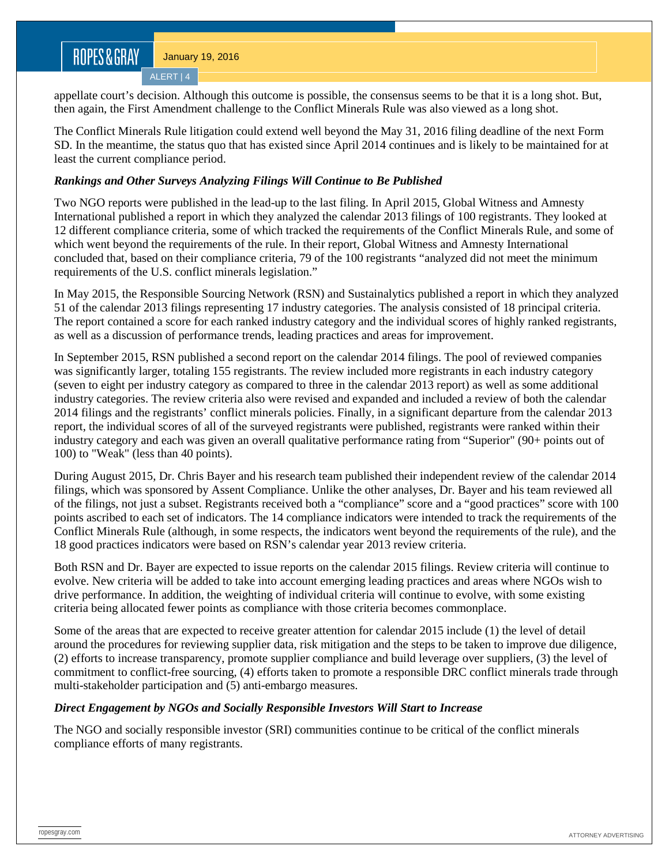ALERT | 4

appellate court's decision. Although this outcome is possible, the consensus seems to be that it is a long shot. But, then again, the First Amendment challenge to the Conflict Minerals Rule was also viewed as a long shot.

The Conflict Minerals Rule litigation could extend well beyond the May 31, 2016 filing deadline of the next Form SD. In the meantime, the status quo that has existed since April 2014 continues and is likely to be maintained for at least the current compliance period.

#### *Rankings and Other Surveys Analyzing Filings Will Continue to Be Published*

Two NGO reports were published in the lead-up to the last filing. In April 2015, Global Witness and Amnesty International published a report in which they analyzed the calendar 2013 filings of 100 registrants. They looked at 12 different compliance criteria, some of which tracked the requirements of the Conflict Minerals Rule, and some of which went beyond the requirements of the rule. In their report, Global Witness and Amnesty International concluded that, based on their compliance criteria, 79 of the 100 registrants "analyzed did not meet the minimum requirements of the U.S. conflict minerals legislation."

In May 2015, the Responsible Sourcing Network (RSN) and Sustainalytics published a report in which they analyzed 51 of the calendar 2013 filings representing 17 industry categories. The analysis consisted of 18 principal criteria. The report contained a score for each ranked industry category and the individual scores of highly ranked registrants, as well as a discussion of performance trends, leading practices and areas for improvement.

In September 2015, RSN published a second report on the calendar 2014 filings. The pool of reviewed companies was significantly larger, totaling 155 registrants. The review included more registrants in each industry category (seven to eight per industry category as compared to three in the calendar 2013 report) as well as some additional industry categories. The review criteria also were revised and expanded and included a review of both the calendar 2014 filings and the registrants' conflict minerals policies. Finally, in a significant departure from the calendar 2013 report, the individual scores of all of the surveyed registrants were published, registrants were ranked within their industry category and each was given an overall qualitative performance rating from "Superior" (90+ points out of 100) to "Weak" (less than 40 points).

During August 2015, Dr. Chris Bayer and his research team published their independent review of the calendar 2014 filings, which was sponsored by Assent Compliance. Unlike the other analyses, Dr. Bayer and his team reviewed all of the filings, not just a subset. Registrants received both a "compliance" score and a "good practices" score with 100 points ascribed to each set of indicators. The 14 compliance indicators were intended to track the requirements of the Conflict Minerals Rule (although, in some respects, the indicators went beyond the requirements of the rule), and the 18 good practices indicators were based on RSN's calendar year 2013 review criteria.

Both RSN and Dr. Bayer are expected to issue reports on the calendar 2015 filings. Review criteria will continue to evolve. New criteria will be added to take into account emerging leading practices and areas where NGOs wish to drive performance. In addition, the weighting of individual criteria will continue to evolve, with some existing criteria being allocated fewer points as compliance with those criteria becomes commonplace.

Some of the areas that are expected to receive greater attention for calendar 2015 include (1) the level of detail around the procedures for reviewing supplier data, risk mitigation and the steps to be taken to improve due diligence, (2) efforts to increase transparency, promote supplier compliance and build leverage over suppliers, (3) the level of commitment to conflict-free sourcing, (4) efforts taken to promote a responsible DRC conflict minerals trade through multi-stakeholder participation and (5) anti-embargo measures.

#### *Direct Engagement by NGOs and Socially Responsible Investors Will Start to Increase*

The NGO and socially responsible investor (SRI) communities continue to be critical of the conflict minerals compliance efforts of many registrants.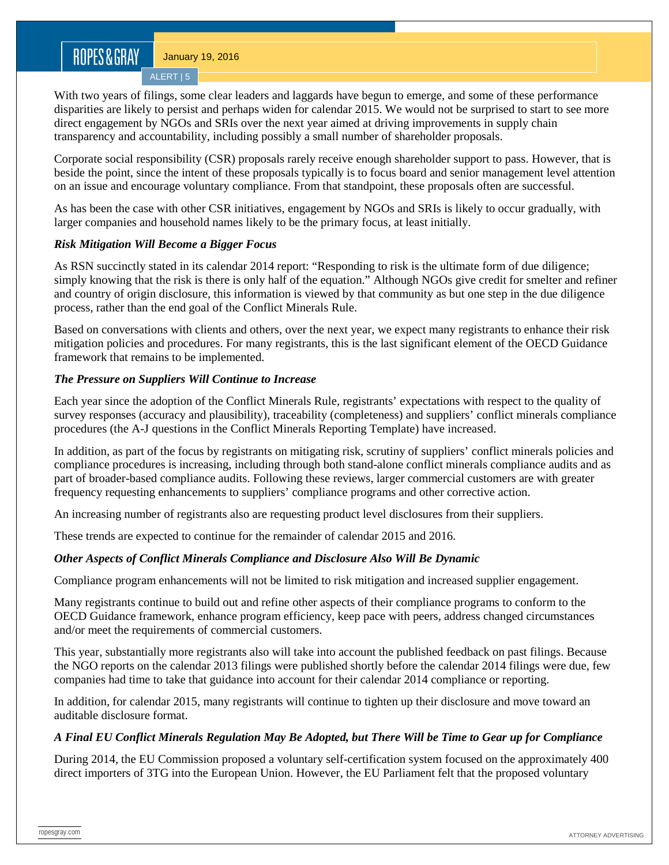January 19, 2016

ALERT | 5

With two years of filings, some clear leaders and laggards have begun to emerge, and some of these performance disparities are likely to persist and perhaps widen for calendar 2015. We would not be surprised to start to see more direct engagement by NGOs and SRIs over the next year aimed at driving improvements in supply chain transparency and accountability, including possibly a small number of shareholder proposals.

Corporate social responsibility (CSR) proposals rarely receive enough shareholder support to pass. However, that is beside the point, since the intent of these proposals typically is to focus board and senior management level attention on an issue and encourage voluntary compliance. From that standpoint, these proposals often are successful.

As has been the case with other CSR initiatives, engagement by NGOs and SRIs is likely to occur gradually, with larger companies and household names likely to be the primary focus, at least initially.

#### *Risk Mitigation Will Become a Bigger Focus*

As RSN succinctly stated in its calendar 2014 report: "Responding to risk is the ultimate form of due diligence; simply knowing that the risk is there is only half of the equation." Although NGOs give credit for smelter and refiner and country of origin disclosure, this information is viewed by that community as but one step in the due diligence process, rather than the end goal of the Conflict Minerals Rule.

Based on conversations with clients and others, over the next year, we expect many registrants to enhance their risk mitigation policies and procedures. For many registrants, this is the last significant element of the OECD Guidance framework that remains to be implemented.

#### *The Pressure on Suppliers Will Continue to Increase*

Each year since the adoption of the Conflict Minerals Rule, registrants' expectations with respect to the quality of survey responses (accuracy and plausibility), traceability (completeness) and suppliers' conflict minerals compliance procedures (the A-J questions in the Conflict Minerals Reporting Template) have increased.

In addition, as part of the focus by registrants on mitigating risk, scrutiny of suppliers' conflict minerals policies and compliance procedures is increasing, including through both stand-alone conflict minerals compliance audits and as part of broader-based compliance audits. Following these reviews, larger commercial customers are with greater frequency requesting enhancements to suppliers' compliance programs and other corrective action.

An increasing number of registrants also are requesting product level disclosures from their suppliers.

These trends are expected to continue for the remainder of calendar 2015 and 2016.

#### *Other Aspects of Conflict Minerals Compliance and Disclosure Also Will Be Dynamic*

Compliance program enhancements will not be limited to risk mitigation and increased supplier engagement.

Many registrants continue to build out and refine other aspects of their compliance programs to conform to the OECD Guidance framework, enhance program efficiency, keep pace with peers, address changed circumstances and/or meet the requirements of commercial customers.

This year, substantially more registrants also will take into account the published feedback on past filings. Because the NGO reports on the calendar 2013 filings were published shortly before the calendar 2014 filings were due, few companies had time to take that guidance into account for their calendar 2014 compliance or reporting.

In addition, for calendar 2015, many registrants will continue to tighten up their disclosure and move toward an auditable disclosure format.

#### *A Final EU Conflict Minerals Regulation May Be Adopted, but There Will be Time to Gear up for Compliance*

During 2014, the EU Commission proposed a voluntary self-certification system focused on the approximately 400 direct importers of 3TG into the European Union. However, the EU Parliament felt that the proposed voluntary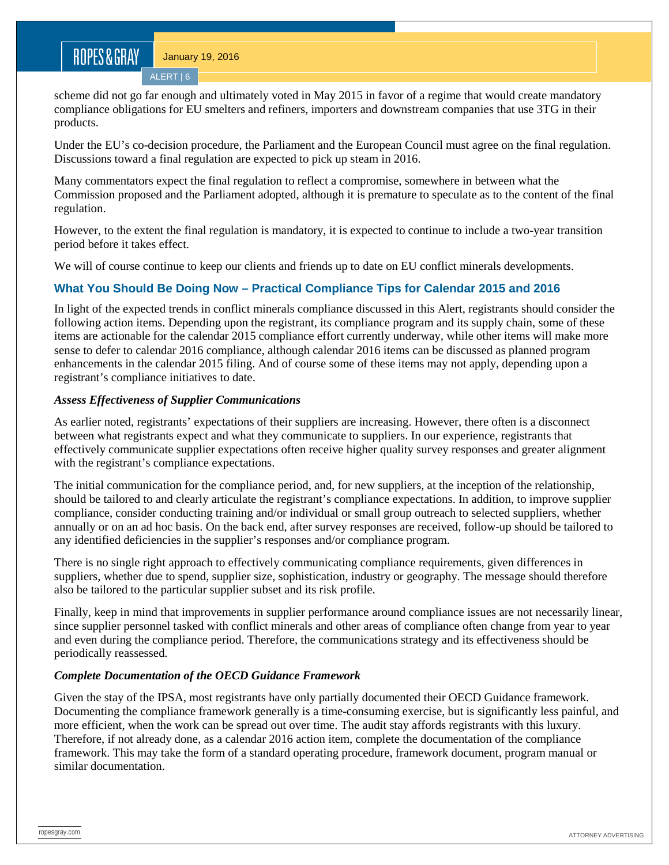scheme did not go far enough and ultimately voted in May 2015 in favor of a regime that would create mandatory compliance obligations for EU smelters and refiners, importers and downstream companies that use 3TG in their products.

Under the EU's co-decision procedure, the Parliament and the European Council must agree on the final regulation. Discussions toward a final regulation are expected to pick up steam in 2016.

Many commentators expect the final regulation to reflect a compromise, somewhere in between what the Commission proposed and the Parliament adopted, although it is premature to speculate as to the content of the final regulation.

However, to the extent the final regulation is mandatory, it is expected to continue to include a two-year transition period before it takes effect.

We will of course continue to keep our clients and friends up to date on EU conflict minerals developments.

#### **What You Should Be Doing Now – Practical Compliance Tips for Calendar 2015 and 2016**

In light of the expected trends in conflict minerals compliance discussed in this Alert, registrants should consider the following action items. Depending upon the registrant, its compliance program and its supply chain, some of these items are actionable for the calendar 2015 compliance effort currently underway, while other items will make more sense to defer to calendar 2016 compliance, although calendar 2016 items can be discussed as planned program enhancements in the calendar 2015 filing. And of course some of these items may not apply, depending upon a registrant's compliance initiatives to date.

#### *Assess Effectiveness of Supplier Communications*

As earlier noted, registrants' expectations of their suppliers are increasing. However, there often is a disconnect between what registrants expect and what they communicate to suppliers. In our experience, registrants that effectively communicate supplier expectations often receive higher quality survey responses and greater alignment with the registrant's compliance expectations.

The initial communication for the compliance period, and, for new suppliers, at the inception of the relationship, should be tailored to and clearly articulate the registrant's compliance expectations. In addition, to improve supplier compliance, consider conducting training and/or individual or small group outreach to selected suppliers, whether annually or on an ad hoc basis. On the back end, after survey responses are received, follow-up should be tailored to any identified deficiencies in the supplier's responses and/or compliance program.

There is no single right approach to effectively communicating compliance requirements, given differences in suppliers, whether due to spend, supplier size, sophistication, industry or geography. The message should therefore also be tailored to the particular supplier subset and its risk profile.

Finally, keep in mind that improvements in supplier performance around compliance issues are not necessarily linear, since supplier personnel tasked with conflict minerals and other areas of compliance often change from year to year and even during the compliance period. Therefore, the communications strategy and its effectiveness should be periodically reassessed.

#### *Complete Documentation of the OECD Guidance Framework*

Given the stay of the IPSA, most registrants have only partially documented their OECD Guidance framework. Documenting the compliance framework generally is a time-consuming exercise, but is significantly less painful, and more efficient, when the work can be spread out over time. The audit stay affords registrants with this luxury. Therefore, if not already done, as a calendar 2016 action item, complete the documentation of the compliance framework. This may take the form of a standard operating procedure, framework document, program manual or similar documentation.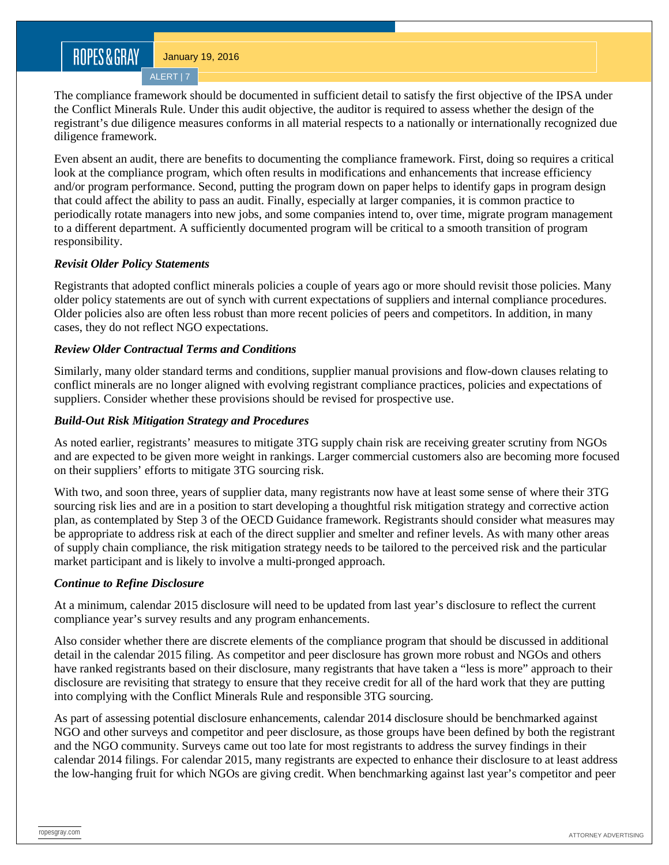ALERT | 7

The compliance framework should be documented in sufficient detail to satisfy the first objective of the IPSA under the Conflict Minerals Rule. Under this audit objective, the auditor is required to assess whether the design of the registrant's due diligence measures conforms in all material respects to a nationally or internationally recognized due diligence framework.

Even absent an audit, there are benefits to documenting the compliance framework. First, doing so requires a critical look at the compliance program, which often results in modifications and enhancements that increase efficiency and/or program performance. Second, putting the program down on paper helps to identify gaps in program design that could affect the ability to pass an audit. Finally, especially at larger companies, it is common practice to periodically rotate managers into new jobs, and some companies intend to, over time, migrate program management to a different department. A sufficiently documented program will be critical to a smooth transition of program responsibility.

#### *Revisit Older Policy Statements*

Registrants that adopted conflict minerals policies a couple of years ago or more should revisit those policies. Many older policy statements are out of synch with current expectations of suppliers and internal compliance procedures. Older policies also are often less robust than more recent policies of peers and competitors. In addition, in many cases, they do not reflect NGO expectations.

#### *Review Older Contractual Terms and Conditions*

Similarly, many older standard terms and conditions, supplier manual provisions and flow-down clauses relating to conflict minerals are no longer aligned with evolving registrant compliance practices, policies and expectations of suppliers. Consider whether these provisions should be revised for prospective use.

#### *Build-Out Risk Mitigation Strategy and Procedures*

As noted earlier, registrants' measures to mitigate 3TG supply chain risk are receiving greater scrutiny from NGOs and are expected to be given more weight in rankings. Larger commercial customers also are becoming more focused on their suppliers' efforts to mitigate 3TG sourcing risk.

With two, and soon three, years of supplier data, many registrants now have at least some sense of where their 3TG sourcing risk lies and are in a position to start developing a thoughtful risk mitigation strategy and corrective action plan, as contemplated by Step 3 of the OECD Guidance framework. Registrants should consider what measures may be appropriate to address risk at each of the direct supplier and smelter and refiner levels. As with many other areas of supply chain compliance, the risk mitigation strategy needs to be tailored to the perceived risk and the particular market participant and is likely to involve a multi-pronged approach.

#### *Continue to Refine Disclosure*

At a minimum, calendar 2015 disclosure will need to be updated from last year's disclosure to reflect the current compliance year's survey results and any program enhancements.

Also consider whether there are discrete elements of the compliance program that should be discussed in additional detail in the calendar 2015 filing. As competitor and peer disclosure has grown more robust and NGOs and others have ranked registrants based on their disclosure, many registrants that have taken a "less is more" approach to their disclosure are revisiting that strategy to ensure that they receive credit for all of the hard work that they are putting into complying with the Conflict Minerals Rule and responsible 3TG sourcing.

As part of assessing potential disclosure enhancements, calendar 2014 disclosure should be benchmarked against NGO and other surveys and competitor and peer disclosure, as those groups have been defined by both the registrant and the NGO community. Surveys came out too late for most registrants to address the survey findings in their calendar 2014 filings. For calendar 2015, many registrants are expected to enhance their disclosure to at least address the low-hanging fruit for which NGOs are giving credit. When benchmarking against last year's competitor and peer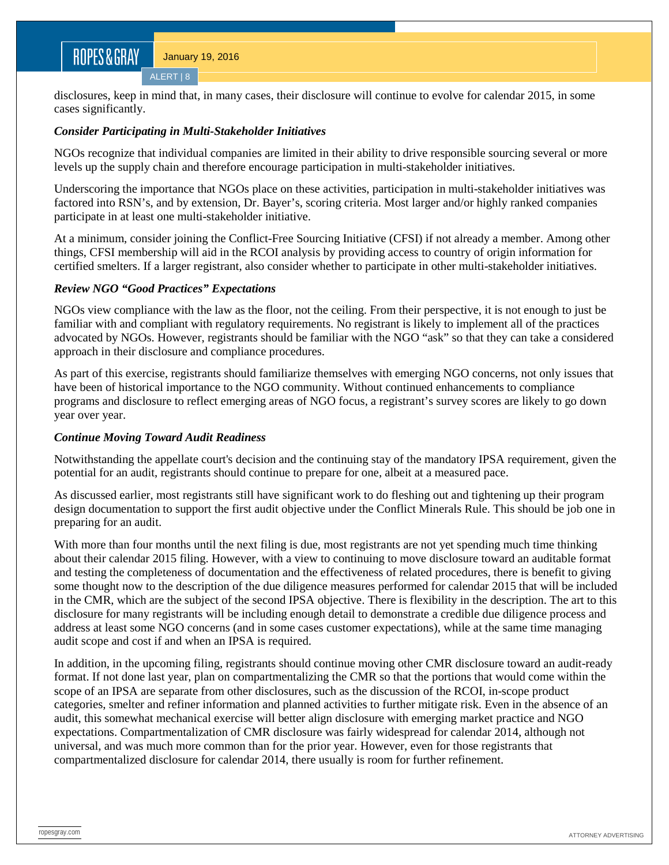disclosures, keep in mind that, in many cases, their disclosure will continue to evolve for calendar 2015, in some cases significantly.

#### *Consider Participating in Multi-Stakeholder Initiatives*

NGOs recognize that individual companies are limited in their ability to drive responsible sourcing several or more levels up the supply chain and therefore encourage participation in multi-stakeholder initiatives.

Underscoring the importance that NGOs place on these activities, participation in multi-stakeholder initiatives was factored into RSN's, and by extension, Dr. Bayer's, scoring criteria. Most larger and/or highly ranked companies participate in at least one multi-stakeholder initiative.

At a minimum, consider joining the Conflict-Free Sourcing Initiative (CFSI) if not already a member. Among other things, CFSI membership will aid in the RCOI analysis by providing access to country of origin information for certified smelters. If a larger registrant, also consider whether to participate in other multi-stakeholder initiatives.

#### *Review NGO "Good Practices" Expectations*

NGOs view compliance with the law as the floor, not the ceiling. From their perspective, it is not enough to just be familiar with and compliant with regulatory requirements. No registrant is likely to implement all of the practices advocated by NGOs. However, registrants should be familiar with the NGO "ask" so that they can take a considered approach in their disclosure and compliance procedures.

As part of this exercise, registrants should familiarize themselves with emerging NGO concerns, not only issues that have been of historical importance to the NGO community. Without continued enhancements to compliance programs and disclosure to reflect emerging areas of NGO focus, a registrant's survey scores are likely to go down year over year.

#### *Continue Moving Toward Audit Readiness*

Notwithstanding the appellate court's decision and the continuing stay of the mandatory IPSA requirement, given the potential for an audit, registrants should continue to prepare for one, albeit at a measured pace.

As discussed earlier, most registrants still have significant work to do fleshing out and tightening up their program design documentation to support the first audit objective under the Conflict Minerals Rule. This should be job one in preparing for an audit.

With more than four months until the next filing is due, most registrants are not yet spending much time thinking about their calendar 2015 filing. However, with a view to continuing to move disclosure toward an auditable format and testing the completeness of documentation and the effectiveness of related procedures, there is benefit to giving some thought now to the description of the due diligence measures performed for calendar 2015 that will be included in the CMR, which are the subject of the second IPSA objective. There is flexibility in the description. The art to this disclosure for many registrants will be including enough detail to demonstrate a credible due diligence process and address at least some NGO concerns (and in some cases customer expectations), while at the same time managing audit scope and cost if and when an IPSA is required.

In addition, in the upcoming filing, registrants should continue moving other CMR disclosure toward an audit-ready format. If not done last year, plan on compartmentalizing the CMR so that the portions that would come within the scope of an IPSA are separate from other disclosures, such as the discussion of the RCOI, in-scope product categories, smelter and refiner information and planned activities to further mitigate risk. Even in the absence of an audit, this somewhat mechanical exercise will better align disclosure with emerging market practice and NGO expectations. Compartmentalization of CMR disclosure was fairly widespread for calendar 2014, although not universal, and was much more common than for the prior year. However, even for those registrants that compartmentalized disclosure for calendar 2014, there usually is room for further refinement.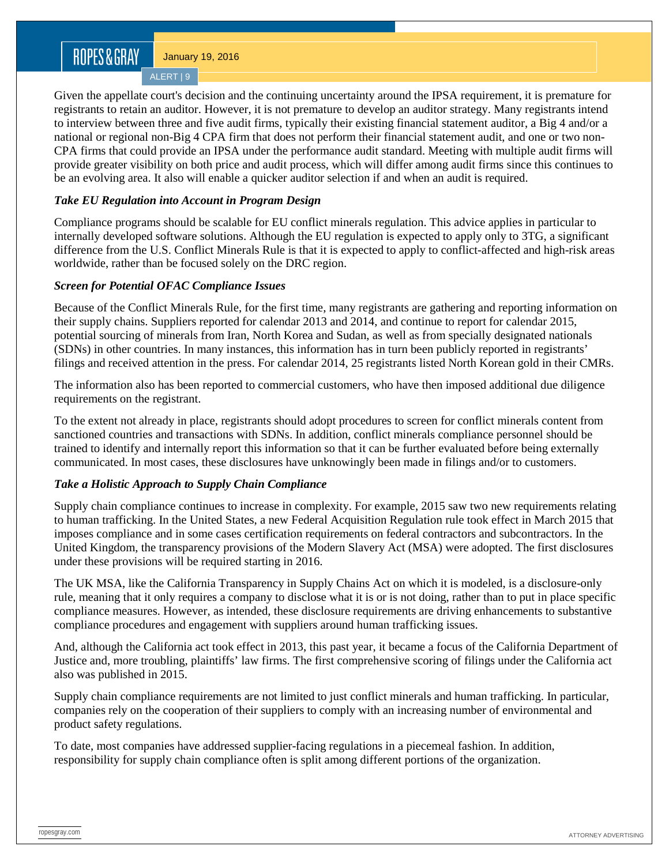January 19, 2016

ALERT | 9

Given the appellate court's decision and the continuing uncertainty around the IPSA requirement, it is premature for registrants to retain an auditor. However, it is not premature to develop an auditor strategy. Many registrants intend to interview between three and five audit firms, typically their existing financial statement auditor, a Big 4 and/or a national or regional non-Big 4 CPA firm that does not perform their financial statement audit, and one or two non-CPA firms that could provide an IPSA under the performance audit standard. Meeting with multiple audit firms will provide greater visibility on both price and audit process, which will differ among audit firms since this continues to be an evolving area. It also will enable a quicker auditor selection if and when an audit is required.

#### *Take EU Regulation into Account in Program Design*

Compliance programs should be scalable for EU conflict minerals regulation. This advice applies in particular to internally developed software solutions. Although the EU regulation is expected to apply only to 3TG, a significant difference from the U.S. Conflict Minerals Rule is that it is expected to apply to conflict-affected and high-risk areas worldwide, rather than be focused solely on the DRC region.

#### *Screen for Potential OFAC Compliance Issues*

Because of the Conflict Minerals Rule, for the first time, many registrants are gathering and reporting information on their supply chains. Suppliers reported for calendar 2013 and 2014, and continue to report for calendar 2015, potential sourcing of minerals from Iran, North Korea and Sudan, as well as from specially designated nationals (SDNs) in other countries. In many instances, this information has in turn been publicly reported in registrants' filings and received attention in the press. For calendar 2014, 25 registrants listed North Korean gold in their CMRs.

The information also has been reported to commercial customers, who have then imposed additional due diligence requirements on the registrant.

To the extent not already in place, registrants should adopt procedures to screen for conflict minerals content from sanctioned countries and transactions with SDNs. In addition, conflict minerals compliance personnel should be trained to identify and internally report this information so that it can be further evaluated before being externally communicated. In most cases, these disclosures have unknowingly been made in filings and/or to customers.

#### *Take a Holistic Approach to Supply Chain Compliance*

Supply chain compliance continues to increase in complexity. For example, 2015 saw two new requirements relating to human trafficking. In the United States, a new Federal Acquisition Regulation rule took effect in March 2015 that imposes compliance and in some cases certification requirements on federal contractors and subcontractors. In the United Kingdom, the transparency provisions of the Modern Slavery Act (MSA) were adopted. The first disclosures under these provisions will be required starting in 2016.

The UK MSA, like the California Transparency in Supply Chains Act on which it is modeled, is a disclosure-only rule, meaning that it only requires a company to disclose what it is or is not doing, rather than to put in place specific compliance measures. However, as intended, these disclosure requirements are driving enhancements to substantive compliance procedures and engagement with suppliers around human trafficking issues.

And, although the California act took effect in 2013, this past year, it became a focus of the California Department of Justice and, more troubling, plaintiffs' law firms. The first comprehensive scoring of filings under the California act also was published in 2015.

Supply chain compliance requirements are not limited to just conflict minerals and human trafficking. In particular, companies rely on the cooperation of their suppliers to comply with an increasing number of environmental and product safety regulations.

To date, most companies have addressed supplier-facing regulations in a piecemeal fashion. In addition, responsibility for supply chain compliance often is split among different portions of the organization.